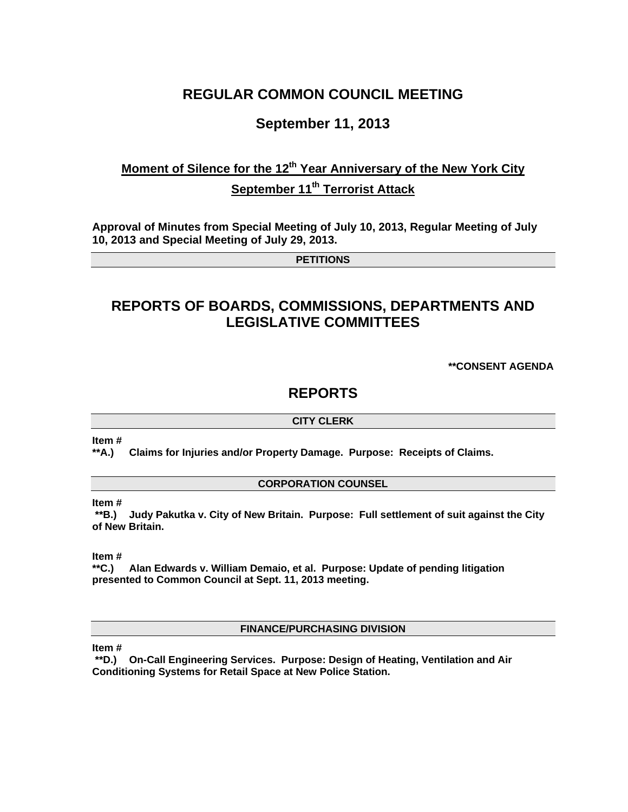## **REGULAR COMMON COUNCIL MEETING**

### **September 11, 2013**

# **Moment of Silence for the 12<sup>th</sup> Year Anniversary of the New York City September 11<sup>th</sup> Terrorist Attack**

**Approval of Minutes from Special Meeting of July 10, 2013, Regular Meeting of July 10, 2013 and Special Meeting of July 29, 2013.** 

**PETITIONS** 

# **REPORTS OF BOARDS, COMMISSIONS, DEPARTMENTS AND LEGISLATIVE COMMITTEES**

**\*\*CONSENT AGENDA** 

### **REPORTS**

#### **CITY CLERK**

**Item #** 

**\*\*A.) Claims for Injuries and/or Property Damage. Purpose: Receipts of Claims.** 

#### **CORPORATION COUNSEL**

**Item #** 

 **\*\*B.) Judy Pakutka v. City of New Britain. Purpose: Full settlement of suit against the City of New Britain.** 

**Item #** 

**\*\*C.) Alan Edwards v. William Demaio, et al. Purpose: Update of pending litigation presented to Common Council at Sept. 11, 2013 meeting.** 

**FINANCE/PURCHASING DIVISION** 

**Item #** 

 **\*\*D.) On-Call Engineering Services. Purpose: Design of Heating, Ventilation and Air Conditioning Systems for Retail Space at New Police Station.**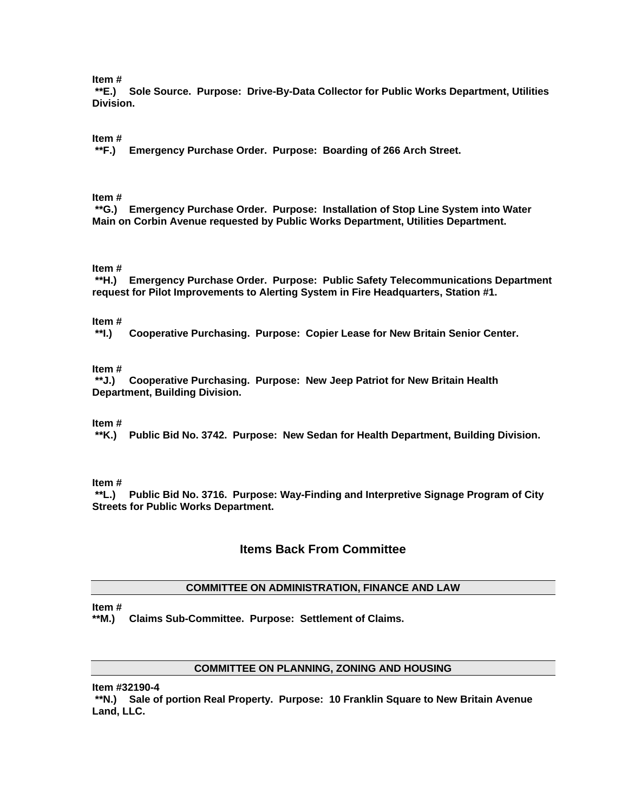#### **Item #**

 **\*\*E.) Sole Source. Purpose: Drive-By-Data Collector for Public Works Department, Utilities Division.** 

#### **Item #**

 **\*\*F.) Emergency Purchase Order. Purpose: Boarding of 266 Arch Street.** 

#### **Item #**

 **\*\*G.) Emergency Purchase Order. Purpose: Installation of Stop Line System into Water Main on Corbin Avenue requested by Public Works Department, Utilities Department.** 

#### **Item #**

 **\*\*H.) Emergency Purchase Order. Purpose: Public Safety Telecommunications Department request for Pilot Improvements to Alerting System in Fire Headquarters, Station #1.** 

#### **Item #**

 **\*\*I.) Cooperative Purchasing. Purpose: Copier Lease for New Britain Senior Center.** 

#### **Item #**

 **\*\*J.) Cooperative Purchasing. Purpose: New Jeep Patriot for New Britain Health Department, Building Division.** 

#### **Item #**

 **\*\*K.) Public Bid No. 3742. Purpose: New Sedan for Health Department, Building Division.** 

#### **Item #**

 **\*\*L.) Public Bid No. 3716. Purpose: Way-Finding and Interpretive Signage Program of City Streets for Public Works Department.** 

### **Items Back From Committee**

#### **COMMITTEE ON ADMINISTRATION, FINANCE AND LAW**

#### **Item #**

**\*\*M.) Claims Sub-Committee. Purpose: Settlement of Claims.** 

#### **COMMITTEE ON PLANNING, ZONING AND HOUSING**

**Item #32190-4** 

 **\*\*N.) Sale of portion Real Property. Purpose: 10 Franklin Square to New Britain Avenue Land, LLC.**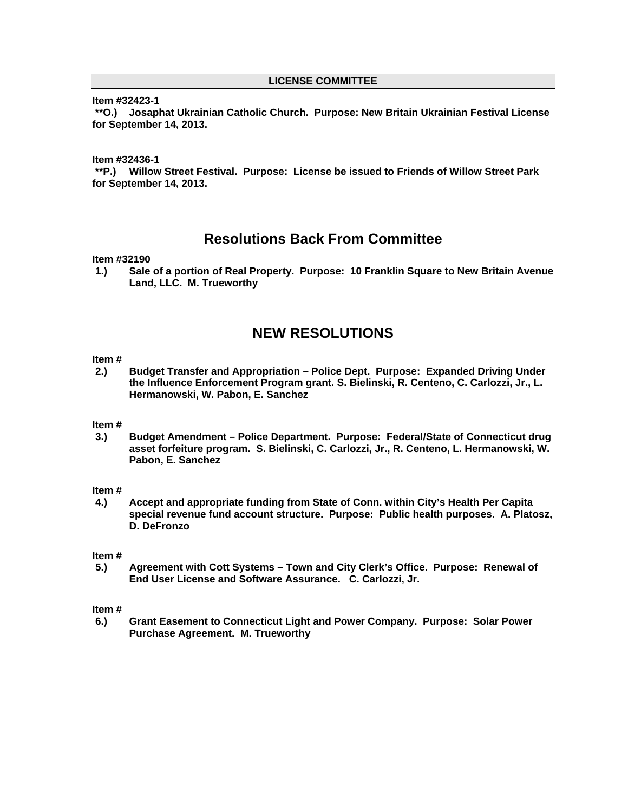#### **LICENSE COMMITTEE**

#### **Item #32423-1**

 **\*\*O.) Josaphat Ukrainian Catholic Church. Purpose: New Britain Ukrainian Festival License for September 14, 2013.**

**Item #32436-1** 

 **\*\*P.) Willow Street Festival. Purpose: License be issued to Friends of Willow Street Park for September 14, 2013.** 

### **Resolutions Back From Committee**

#### **Item #32190**

**1.) Sale of a portion of Real Property. Purpose: 10 Franklin Square to New Britain Avenue Land, LLC. M. Trueworthy** 

### **NEW RESOLUTIONS**

#### **Item #**

**2.) Budget Transfer and Appropriation – Police Dept. Purpose: Expanded Driving Under the Influence Enforcement Program grant. S. Bielinski, R. Centeno, C. Carlozzi, Jr., L. Hermanowski, W. Pabon, E. Sanchez** 

#### **Item #**

**3.) Budget Amendment – Police Department. Purpose: Federal/State of Connecticut drug asset forfeiture program. S. Bielinski, C. Carlozzi, Jr., R. Centeno, L. Hermanowski, W. Pabon, E. Sanchez** 

#### **Item #**

**4.) Accept and appropriate funding from State of Conn. within City's Health Per Capita special revenue fund account structure. Purpose: Public health purposes. A. Platosz, D. DeFronzo** 

#### **Item #**

**5.) Agreement with Cott Systems – Town and City Clerk's Office. Purpose: Renewal of End User License and Software Assurance. C. Carlozzi, Jr.** 

#### **Item #**

**6.) Grant Easement to Connecticut Light and Power Company. Purpose: Solar Power Purchase Agreement. M. Trueworthy**